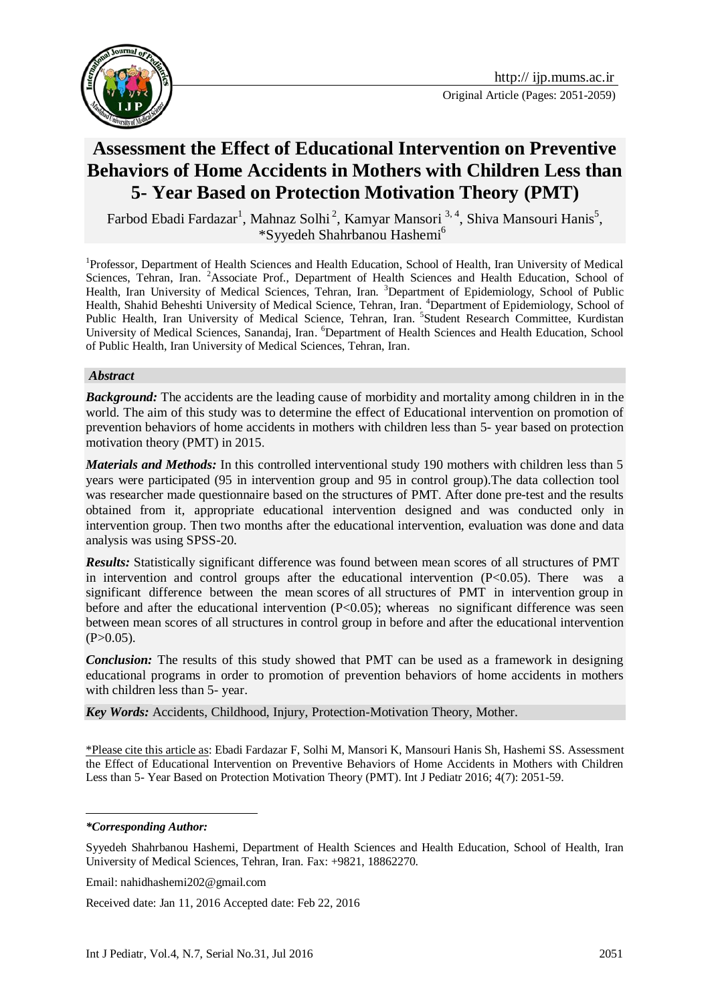



# **Assessment the Effect of Educational Intervention on Preventive Behaviors of Home Accidents in Mothers with Children Less than 5- Year Based on Protection Motivation Theory (PMT)**

Farbod Ebadi Fardazar<sup>1</sup>, Mahnaz Solhi<sup>2</sup>, Kamyar Mansori <sup>3, 4</sup>, Shiva Mansouri Hanis<sup>5</sup>, \*Syyedeh Shahrbanou Hashemi<sup>6</sup>

<sup>1</sup>Professor, Department of Health Sciences and Health Education, School of Health, Iran University of Medical Sciences, Tehran, Iran. <sup>2</sup>Associate Prof., Department of Health Sciences and Health Education, School of Health, Iran University of Medical Sciences, Tehran, Iran. <sup>3</sup>Department of Epidemiology, School of Public Health, Shahid Beheshti University of Medical Science, Tehran, Iran. <sup>4</sup>Department of Epidemiology, School of Public Health, Iran University of Medical Science, Tehran, Iran. <sup>5</sup>Student Research Committee, Kurdistan University of Medical Sciences, Sanandaj, Iran. <sup>6</sup>Department of Health Sciences and Health Education, School of Public Health, Iran University of Medical Sciences, Tehran, Iran.

#### *Abstract*

*Background:* The accidents are the leading cause of morbidity and mortality among children in in the world. The aim of this study was to determine the effect of Educational intervention on promotion of prevention behaviors of home accidents in mothers with children less than 5- year based on protection motivation theory (PMT) in 2015.

*Materials and Methods:* In this controlled interventional study 190 mothers with children less than 5 years were participated (95 in intervention group and 95 in control group).The data collection tool was researcher made questionnaire based on the structures of PMT. After done pre-test and the results obtained from it, appropriate educational intervention designed and was conducted only in intervention group. Then two months after the educational intervention, evaluation was done and data analysis was using SPSS-20.

*Results:* Statistically significant difference was found between mean scores of all structures of PMT in intervention and control groups after the educational intervention  $(P<0.05)$ . There was a significant difference between the mean scores of all structures of PMT in intervention group in before and after the educational intervention  $(P<0.05)$ ; whereas no significant difference was seen between mean scores of all structures in control group in before and after the educational intervention  $(P>0.05)$ .

*Conclusion:* The results of this study showed that PMT can be used as a framework in designing educational programs in order to promotion of prevention behaviors of home accidents in mothers with children less than 5- year.

*Key Words:* Accidents, Childhood, Injury, Protection-Motivation Theory, Mother.

\*Please cite this article as: Ebadi Fardazar F, Solhi M, Mansori K, Mansouri Hanis Sh, Hashemi SS. Assessment the Effect of Educational Intervention on Preventive Behaviors of Home Accidents in Mothers with Children Less than 5- Year Based on Protection Motivation Theory (PMT). Int J Pediatr 2016; 4(7): 2051-59.

*\*Corresponding Author:*

<u>.</u>

Syyedeh Shahrbanou Hashemi, Department of Health Sciences and Health Education, School of Health, Iran University of Medical Sciences, Tehran, Iran. Fax: +9821, 18862270.

Email: nahidhashemi202@gmail.com

Received date: Jan 11, 2016 Accepted date: Feb 22, 2016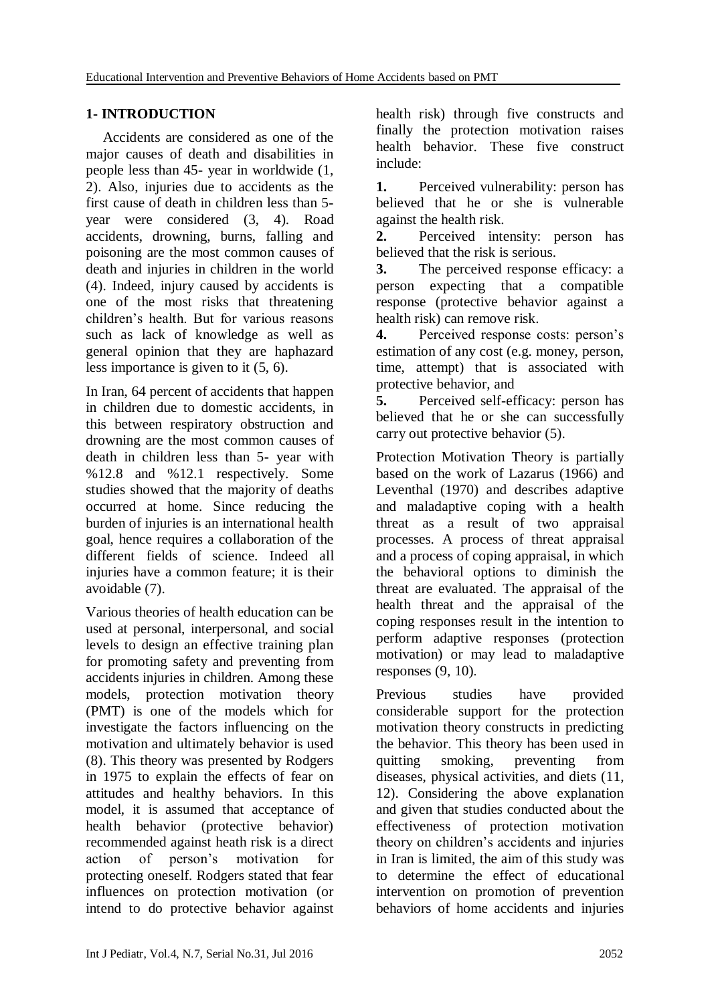#### **1- INTRODUCTION**

Accidents are considered as one of the major causes of death and disabilities in people less than 45- year in worldwide (1, 2). Also, injuries due to accidents as the first cause of death in children less than 5 year were considered (3, 4). Road accidents, drowning, burns, falling and poisoning are the most common causes of death and injuries in children in the world (4). Indeed, injury caused by accidents is one of the most risks that threatening children's health. But for various reasons such as lack of knowledge as well as general opinion that they are haphazard less importance is given to it (5, 6).

In Iran, 64 percent of accidents that happen in children due to domestic accidents, in this between respiratory obstruction and drowning are the most common causes of death in children less than 5- year with %12.8 and %12.1 respectively. Some studies showed that the majority of deaths occurred at home. Since reducing the burden of injuries is an international health goal, hence requires a collaboration of the different fields of science. Indeed all injuries have a common feature; it is their avoidable (7).

Various theories of health education can be used at personal, interpersonal, and social levels to design an effective training plan for promoting safety and preventing from accidents injuries in children. Among these models, protection motivation theory (PMT) is one of the models which for investigate the factors influencing on the motivation and ultimately behavior is used (8). This theory was presented by Rodgers in 1975 to explain the effects of fear on attitudes and healthy behaviors. In this model, it is assumed that acceptance of health behavior (protective behavior) recommended against heath risk is a direct action of person's motivation for protecting oneself. Rodgers stated that fear influences on protection motivation (or intend to do protective behavior against

health risk) through five constructs and finally the protection motivation raises health behavior. These five construct include:

**1.** Perceived vulnerability: person has believed that he or she is vulnerable against the health risk.

**2.** Perceived intensity: person has believed that the risk is serious.

**3.** The perceived response efficacy: a person expecting that a compatible response (protective behavior against a health risk) can remove risk.

**4.** Perceived response costs: person's estimation of any cost (e.g. money, person, time, attempt) that is associated with protective behavior, and

**5.** Perceived self-efficacy: person has believed that he or she can successfully carry out protective behavior (5).

Protection Motivation Theory is partially based on the work of Lazarus (1966) and Leventhal (1970) and describes adaptive and maladaptive coping with a health threat as a result of two appraisal processes. A process of threat appraisal and a process of coping appraisal, in which the behavioral options to diminish the threat are evaluated. The appraisal of the health threat and the appraisal of the coping responses result in the intention to perform adaptive responses (protection motivation) or may lead to maladaptive responses  $(9, 10)$ .

Previous studies have provided considerable support for the protection motivation theory constructs in predicting the behavior. This theory has been used in quitting smoking, preventing from diseases, physical activities, and diets (11, 12). Considering the above explanation and given that studies conducted about the effectiveness of protection motivation theory on children's accidents and injuries in Iran is limited, the aim of this study was to determine the effect of educational intervention on promotion of prevention behaviors of home accidents and injuries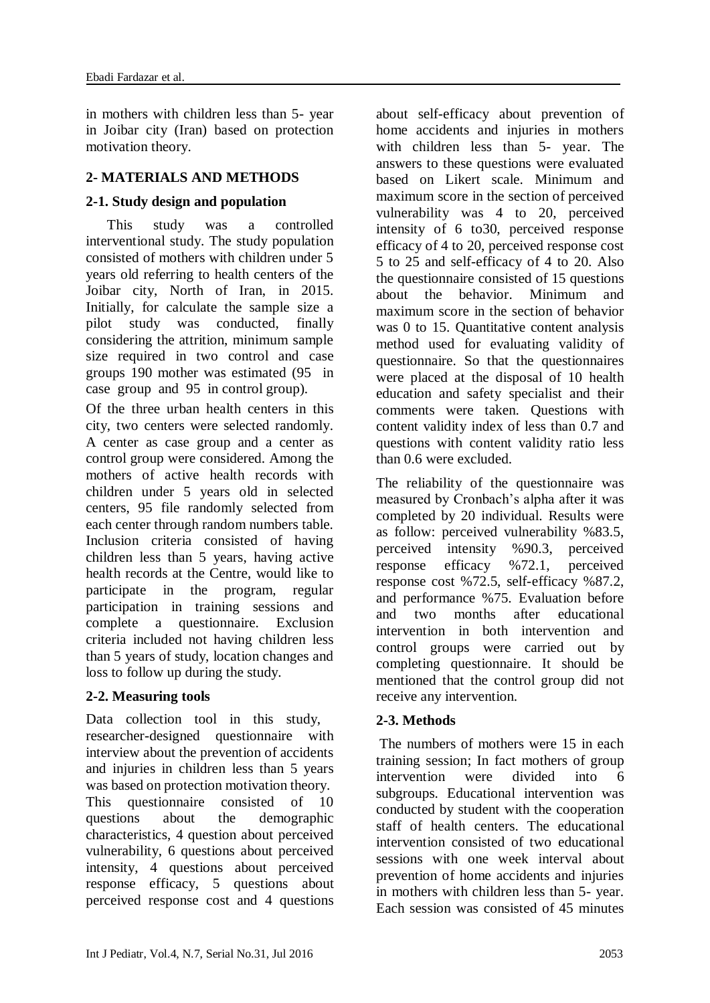in mothers with children less than 5- year in Joibar city (Iran) based on protection motivation theory.

#### **2- MATERIALS AND METHODS**

#### **2-1. Study design and population**

 This study was a controlled interventional study. The study population consisted of mothers with children under 5 years old referring to health centers of the Joibar city, North of Iran, in 2015. Initially, for calculate the sample size a pilot study was conducted, finally considering the attrition, minimum sample size required in two control and case groups 190 mother was estimated (95 in case group and 95 in control group).

Of the three urban health centers in this city, two centers were selected randomly. A center as case group and a center as control group were considered. Among the mothers of active health records with children under 5 years old in selected centers, 95 file randomly selected from each center through random numbers table. Inclusion criteria consisted of having children less than 5 years, having active health records at the Centre, would like to participate in the program, regular participation in training sessions and complete a questionnaire. Exclusion criteria included not having children less than 5 years of study, location changes and loss to follow up during the study.

## **2-2. Measuring tools**

Data collection tool in this study, researcher-designed questionnaire with interview about the prevention of accidents and injuries in children less than 5 years was based on protection motivation theory. This questionnaire consisted of 10 questions about the demographic characteristics, 4 question about perceived vulnerability, 6 questions about perceived intensity, 4 questions about perceived response efficacy, 5 questions about perceived response cost and 4 questions about self-efficacy about prevention of home accidents and injuries in mothers with children less than 5- year. The answers to these questions were evaluated based on Likert scale. Minimum and maximum score in the section of perceived vulnerability was 4 to 20, perceived intensity of 6 to30, perceived response efficacy of 4 to 20, perceived response cost 5 to 25 and self-efficacy of 4 to 20. Also the questionnaire consisted of 15 questions about the behavior. Minimum and maximum score in the section of behavior was 0 to 15. Quantitative content analysis method used for evaluating validity of questionnaire. So that the questionnaires were placed at the disposal of 10 health education and safety specialist and their comments were taken. Questions with content validity index of less than 0.7 and questions with content validity ratio less than 0.6 were excluded.

The reliability of the questionnaire was measured by Cronbach's alpha after it was completed by 20 individual. Results were as follow: perceived vulnerability %83.5, perceived intensity %90.3, perceived response efficacy %72.1, perceived response cost %72.5, self-efficacy %87.2, and performance %75. Evaluation before and two months after educational intervention in both intervention and control groups were carried out by completing questionnaire. It should be mentioned that the control group did not receive any intervention.

#### **2-3. Methods**

The numbers of mothers were 15 in each training session; In fact mothers of group intervention were divided into 6 subgroups. Educational intervention was conducted by student with the cooperation staff of health centers. The educational intervention consisted of two educational sessions with one week interval about prevention of home accidents and injuries in mothers with children less than 5- year. Each session was consisted of 45 minutes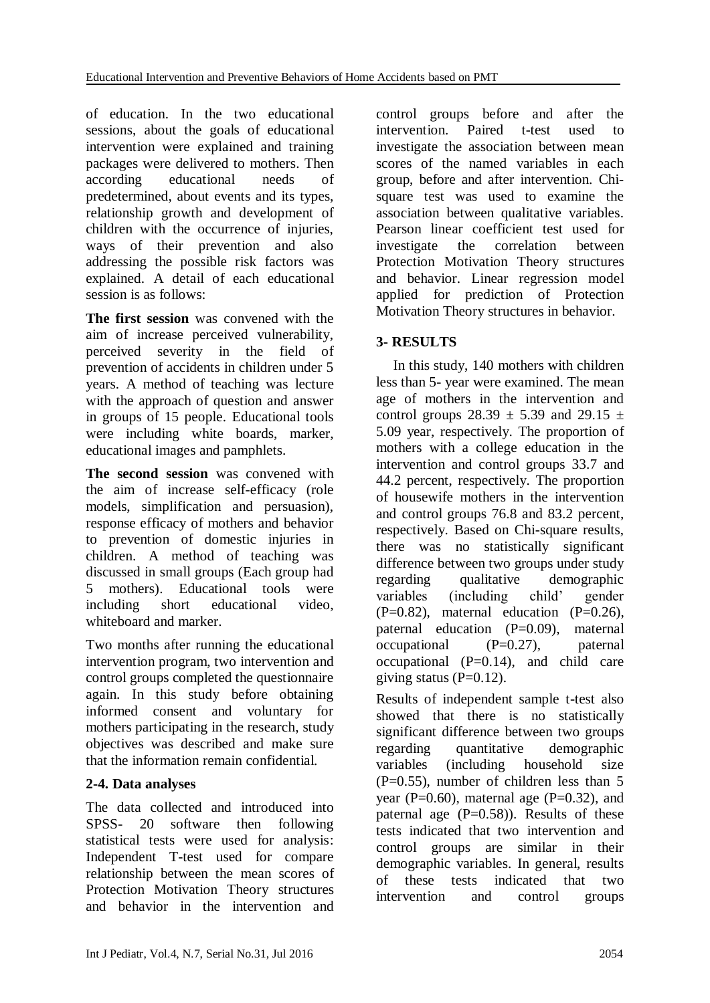of education. In the two educational sessions, about the goals of educational intervention were explained and training packages were delivered to mothers. Then according educational needs of predetermined, about events and its types, relationship growth and development of children with the occurrence of injuries, ways of their prevention and also addressing the possible risk factors was explained. A detail of each educational session is as follows:

**The first session** was convened with the aim of increase perceived vulnerability, perceived severity in the field of prevention of accidents in children under 5 years. A method of teaching was lecture with the approach of question and answer in groups of 15 people. Educational tools were including white boards, marker, educational images and pamphlets.

**The second session** was convened with the aim of increase self-efficacy (role models, simplification and persuasion), response efficacy of mothers and behavior to prevention of domestic injuries in children. A method of teaching was discussed in small groups (Each group had 5 mothers). Educational tools were including short educational video, whiteboard and marker.

Two months after running the educational intervention program, two intervention and control groups completed the questionnaire again. In this study before obtaining informed consent and voluntary for mothers participating in the research, study objectives was described and make sure that the information remain confidential.

## **2-4. Data analyses**

The data collected and introduced into SPSS- 20 software then following statistical tests were used for analysis: Independent T-test used for compare relationship between the mean scores of Protection Motivation Theory structures and behavior in the intervention and control groups before and after the intervention. Paired t-test used to investigate the association between mean scores of the named variables in each group, before and after intervention. Chisquare test was used to examine the association between qualitative variables. Pearson linear coefficient test used for investigate the correlation between Protection Motivation Theory structures and behavior. Linear regression model applied for prediction of Protection Motivation Theory structures in behavior.

#### **3- RESULTS**

In this study, 140 mothers with children less than 5- year were examined. The mean age of mothers in the intervention and control groups  $28.39 \pm 5.39$  and  $29.15 \pm 1.5$ 5.09 year, respectively. The proportion of mothers with a college education in the intervention and control groups 33.7 and 44.2 percent, respectively. The proportion of housewife mothers in the intervention and control groups 76.8 and 83.2 percent, respectively. Based on Chi-square results, there was no statistically significant difference between two groups under study regarding qualitative demographic variables (including child' gender  $(P=0.82)$ , maternal education  $(P=0.26)$ , paternal education (P=0.09), maternal occupational (P=0.27), paternal occupational  $(P=0.14)$ , and child care giving status  $(P=0.12)$ .

Results of independent sample t-test also showed that there is no statistically significant difference between two groups regarding quantitative demographic variables (including household size  $(P=0.55)$ , number of children less than 5 year ( $P=0.60$ ), maternal age ( $P=0.32$ ), and paternal age  $(P=0.58)$ ). Results of these tests indicated that two intervention and control groups are similar in their demographic variables. In general, results of these tests indicated that two intervention and control groups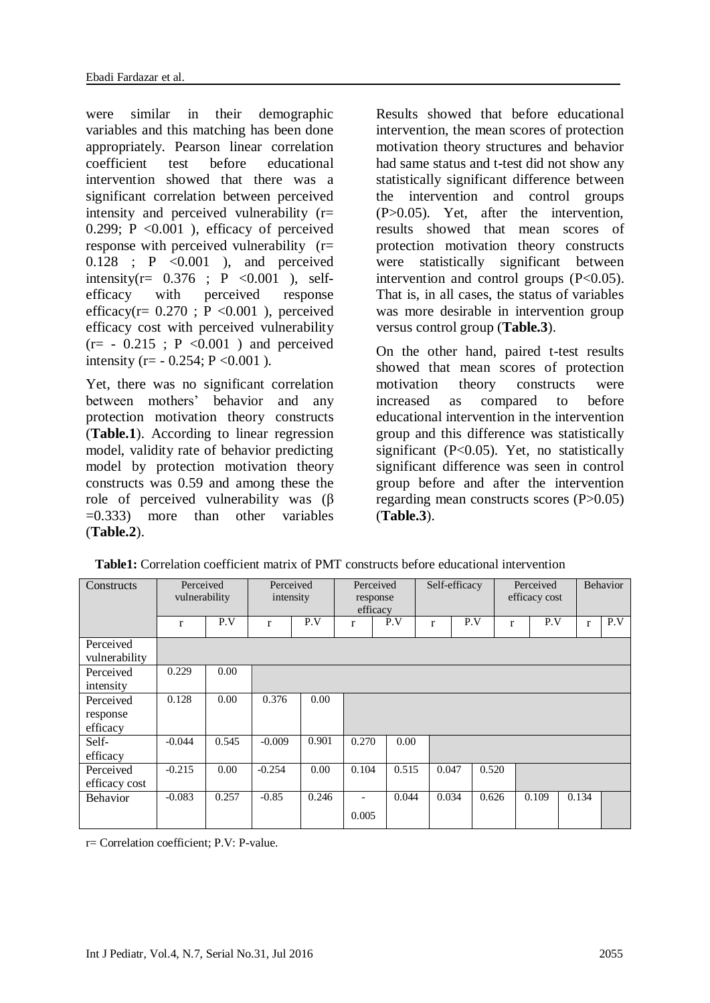were similar in their demographic variables and this matching has been done appropriately. Pearson linear correlation coefficient test before educational intervention showed that there was a significant correlation between perceived intensity and perceived vulnerability (r= 0.299;  $P \leq 0.001$  ), efficacy of perceived response with perceived vulnerability (r=  $0.128$  ; P  $\lt 0.001$  ), and perceived intensity( $r = 0.376$ ; P < 0.001 ), selfefficacy with perceived response efficacy( $r = 0.270$ ;  $P < 0.001$ ), perceived efficacy cost with perceived vulnerability  $(r=-0.215$ ; P < 0.001 ) and perceived intensity (r=  $-0.254$ ; P < 0.001).

Yet, there was no significant correlation between mothers' behavior and any protection motivation theory constructs (**Table.1**). According to linear regression model, validity rate of behavior predicting model by protection motivation theory constructs was 0.59 and among these the role of perceived vulnerability was (β  $=0.333$  more than other variables (**Table.2**).

Results showed that before educational intervention, the mean scores of protection motivation theory structures and behavior had same status and t-test did not show any statistically significant difference between the intervention and control groups (P>0.05). Yet, after the intervention, results showed that mean scores of protection motivation theory constructs were statistically significant between intervention and control groups  $(P<0.05)$ . That is, in all cases, the status of variables was more desirable in intervention group versus control group (**Table.3**).

On the other hand, paired t-test results showed that mean scores of protection motivation theory constructs were increased as compared to before educational intervention in the intervention group and this difference was statistically significant (P<0.05). Yet, no statistically significant difference was seen in control group before and after the intervention regarding mean constructs scores (P>0.05) (**Table.3**).

| Constructs    | Perceived<br>vulnerability |       | Perceived<br>intensity |       | Perceived<br>response<br>efficacy |       | Self-efficacy |     |              | Perceived<br>efficacy cost |     | <b>Behavior</b> |     |
|---------------|----------------------------|-------|------------------------|-------|-----------------------------------|-------|---------------|-----|--------------|----------------------------|-----|-----------------|-----|
|               | r                          | P.V   | $\mathbf{r}$           | P.V   | r                                 | P.V   | r             | P.V | $\mathbf{r}$ |                            | P.V | r               | P.V |
| Perceived     |                            |       |                        |       |                                   |       |               |     |              |                            |     |                 |     |
| vulnerability |                            |       |                        |       |                                   |       |               |     |              |                            |     |                 |     |
| Perceived     | 0.229                      | 0.00  |                        |       |                                   |       |               |     |              |                            |     |                 |     |
| intensity     |                            |       |                        |       |                                   |       |               |     |              |                            |     |                 |     |
| Perceived     | 0.128                      | 0.00  | 0.376                  | 0.00  |                                   |       |               |     |              |                            |     |                 |     |
| response      |                            |       |                        |       |                                   |       |               |     |              |                            |     |                 |     |
| efficacy      |                            |       |                        |       |                                   |       |               |     |              |                            |     |                 |     |
| Self-         | $-0.044$                   | 0.545 | $-0.009$               | 0.901 | 0.270                             | 0.00  |               |     |              |                            |     |                 |     |
| efficacy      |                            |       |                        |       |                                   |       |               |     |              |                            |     |                 |     |
| Perceived     | $-0.215$                   | 0.00  | $-0.254$               | 0.00  | 0.104                             | 0.515 | 0.047         |     | 0.520        |                            |     |                 |     |
| efficacy cost |                            |       |                        |       |                                   |       |               |     |              |                            |     |                 |     |
| Behavior      | $-0.083$                   | 0.257 | $-0.85$                | 0.246 | $\overline{\phantom{a}}$          | 0.044 | 0.034         |     | 0.626        | 0.109                      |     | 0.134           |     |
|               |                            |       |                        |       | 0.005                             |       |               |     |              |                            |     |                 |     |

**Table1:** Correlation coefficient matrix of PMT constructs before educational intervention

r= Correlation coefficient; P.V: P-value.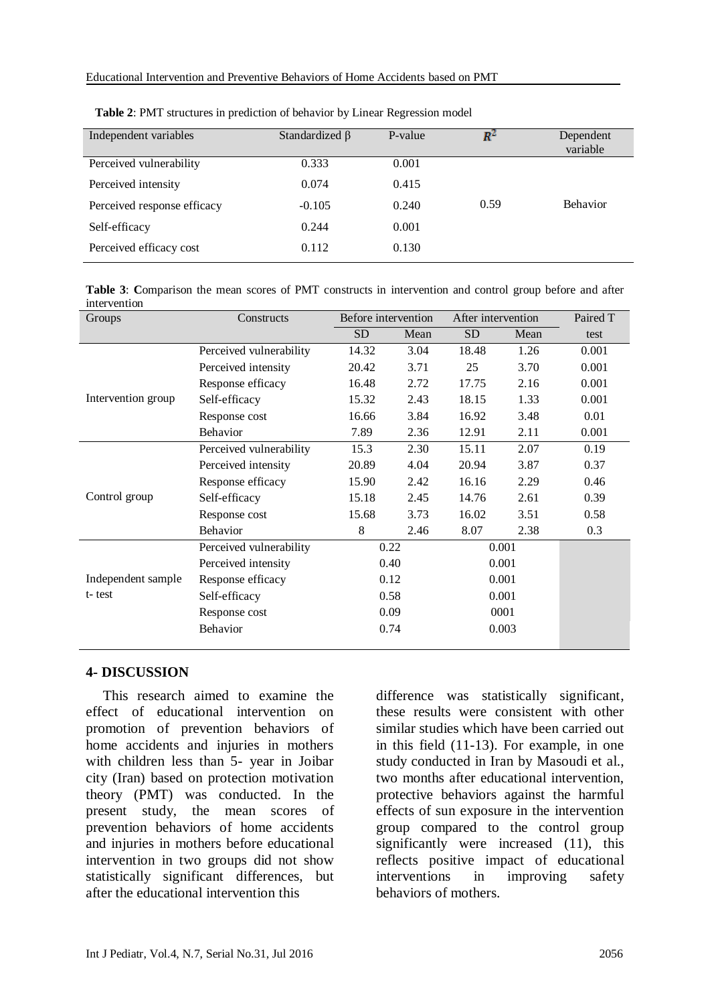| Independent variables       | Standardized $\beta$ | P-value | R-   | Dependent<br>variable |
|-----------------------------|----------------------|---------|------|-----------------------|
| Perceived vulnerability     | 0.333                | 0.001   |      |                       |
| Perceived intensity         | 0.074                | 0.415   |      |                       |
| Perceived response efficacy | $-0.105$             | 0.240   | 0.59 | <b>Behavior</b>       |
| Self-efficacy               | 0.244                | 0.001   |      |                       |
| Perceived efficacy cost     | 0.112                | 0.130   |      |                       |

| <b>Table 2: PMT</b> structures in prediction of behavior by Linear Regression model |  |  |
|-------------------------------------------------------------------------------------|--|--|
|                                                                                     |  |  |

**Table 3**: **C**omparison the mean scores of PMT constructs in intervention and control group before and after intervention

| Groups             | Constructs              | Before intervention |      | After intervention |      | Paired T |
|--------------------|-------------------------|---------------------|------|--------------------|------|----------|
|                    |                         | SD                  | Mean | SD <sub></sub>     | Mean | test     |
|                    | Perceived vulnerability | 14.32               | 3.04 | 18.48              | 1.26 | 0.001    |
|                    | Perceived intensity     | 20.42               | 3.71 | 25                 | 3.70 | 0.001    |
|                    | Response efficacy       | 16.48               | 2.72 | 17.75              | 2.16 | 0.001    |
| Intervention group | Self-efficacy           | 15.32               | 2.43 | 18.15              | 1.33 | 0.001    |
|                    | Response cost           | 16.66               | 3.84 | 16.92              | 3.48 | 0.01     |
|                    | Behavior                | 7.89                | 2.36 | 12.91              | 2.11 | 0.001    |
|                    | Perceived vulnerability | 15.3                | 2.30 | 15.11              | 2.07 | 0.19     |
|                    | Perceived intensity     | 20.89               | 4.04 | 20.94              | 3.87 | 0.37     |
|                    | Response efficacy       | 15.90               | 2.42 | 16.16              | 2.29 | 0.46     |
| Control group      | Self-efficacy           | 15.18               | 2.45 | 14.76              | 2.61 | 0.39     |
|                    | Response cost           | 15.68               | 3.73 | 16.02              | 3.51 | 0.58     |
|                    | Behavior                | 8                   | 2.46 | 8.07               | 2.38 | 0.3      |
|                    | Perceived vulnerability | 0.22                |      | 0.001              |      |          |
|                    | Perceived intensity     | 0.40                |      | 0.001              |      |          |
| Independent sample | Response efficacy       | 0.12                |      | 0.001              |      |          |
| t-test             | Self-efficacy           | 0.58                |      | 0.001              |      |          |
|                    | Response cost           | 0.09                |      | 0001               |      |          |
|                    | Behavior                | 0.74                |      | 0.003              |      |          |
|                    |                         |                     |      |                    |      |          |

#### **4- DISCUSSION**

This research aimed to examine the effect of educational intervention on promotion of prevention behaviors of home accidents and injuries in mothers with children less than 5- year in Joibar city (Iran) based on protection motivation theory (PMT) was conducted. In the present study, the mean scores of prevention behaviors of home accidents and injuries in mothers before educational intervention in two groups did not show statistically significant differences, but after the educational intervention this

difference was statistically significant, these results were consistent with other similar studies which have been carried out in this field (11-13). For example, in one study conducted in Iran by Masoudi et al., two months after educational intervention, protective behaviors against the harmful effects of sun exposure in the intervention group compared to the control group significantly were increased (11), this reflects positive impact of educational interventions in improving safety behaviors of mothers.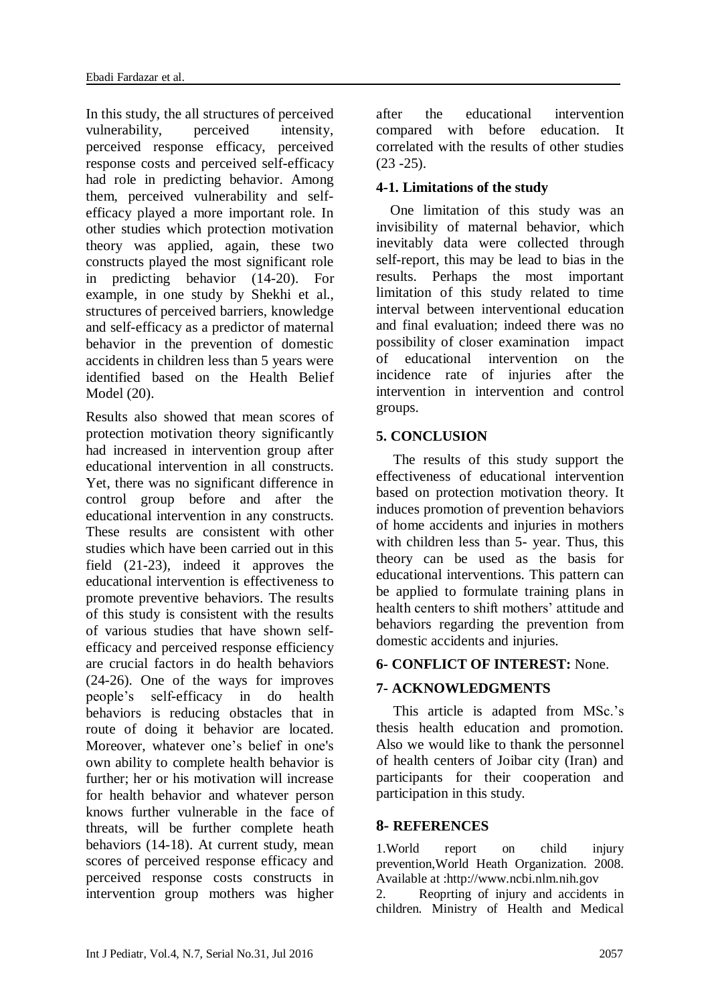In this study, the all structures of perceived vulnerability, perceived intensity, perceived response efficacy, perceived response costs and perceived self-efficacy had role in predicting behavior. Among them, perceived vulnerability and selfefficacy played a more important role. In other studies which protection motivation theory was applied, again, these two constructs played the most significant role in predicting behavior (14-20). For example, in one study by Shekhi et al., structures of perceived barriers, knowledge and self-efficacy as a predictor of maternal behavior in the prevention of domestic accidents in children less than 5 years were identified based on the Health Belief Model (20).

Results also showed that mean scores of protection motivation theory significantly had increased in intervention group after educational intervention in all constructs. Yet, there was no significant difference in control group before and after the educational intervention in any constructs. These results are consistent with other studies which have been carried out in this field (21-23), indeed it approves the educational intervention is effectiveness to promote preventive behaviors. The results of this study is consistent with the results of various studies that have shown selfefficacy and perceived response efficiency are crucial factors in do health behaviors (24-26). One of the ways for improves people's self-efficacy in do health behaviors is reducing obstacles that in route of doing it behavior are located. Moreover, whatever one's belief in one's own ability to complete health behavior is further; her or his motivation will increase for health behavior and whatever person knows further vulnerable in the face of threats, will be further complete heath behaviors (14-18). At current study, mean scores of perceived response efficacy and perceived response costs constructs in intervention group mothers was higher

after the educational intervention compared with before education. It correlated with the results of other studies  $(23 - 25)$ .

#### **4-1. Limitations of the study**

 One limitation of this study was an invisibility of maternal behavior, which inevitably data were collected through self-report, this may be lead to bias in the results. Perhaps the most important limitation of this study related to time interval between interventional education and final evaluation; indeed there was no possibility of closer examination impact of educational intervention on the incidence rate of injuries after the intervention in intervention and control groups.

#### **5. CONCLUSION**

The results of this study support the effectiveness of educational intervention based on protection motivation theory. It induces promotion of prevention behaviors of home accidents and injuries in mothers with children less than 5- year. Thus, this theory can be used as the basis for educational interventions. This pattern can be applied to formulate training plans in health centers to shift mothers' attitude and behaviors regarding the prevention from domestic accidents and injuries.

#### **6- CONFLICT OF INTEREST:** None.

## **7- ACKNOWLEDGMENTS**

This article is adapted from MSc.'s thesis health education and promotion. Also we would like to thank the personnel of health centers of Joibar city (Iran) and participants for their cooperation and participation in this study.

#### **8- REFERENCES**

1.World report on child injury prevention,World Heath Organization. 2008. Available at [:http://www.ncbi.nlm.nih.gov](http://www.ncbi.nlm.nih.gov/books/NBK310641/)

2. Reoprting of injury and accidents in children. Ministry of Health and Medical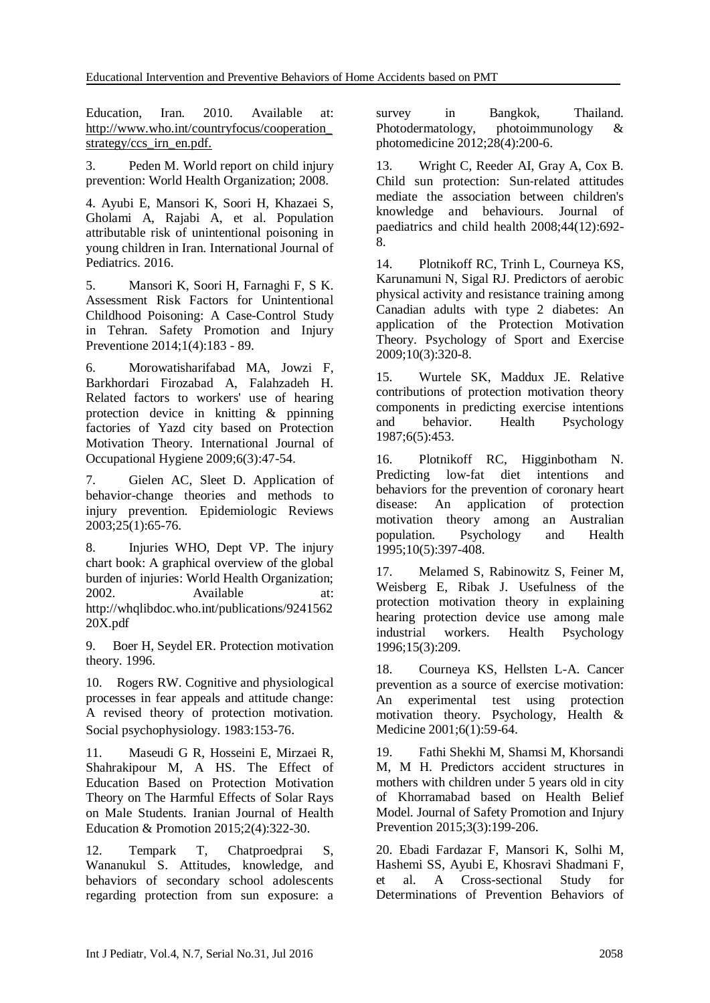Education, Iran. 2010. Available at: http://www.who.int/countryfocus/cooperation\_ strategy/ccs\_irn\_en.pdf.

3. Peden M. World report on child injury prevention: World Health Organization; 2008.

4. Ayubi E, Mansori K, Soori H, Khazaei S, Gholami A, Rajabi A, et al. Population attributable risk of unintentional poisoning in young children in Iran. International Journal of Pediatrics. 2016.

5. Mansori K, Soori H, Farnaghi F, S K. Assessment Risk Factors for Unintentional Childhood Poisoning: A Case-Control Study in Tehran. Safety Promotion and Injury Preventione 2014;1(4):183 - 89.

6. Morowatisharifabad MA, Jowzi F, Barkhordari Firozabad A, Falahzadeh H. Related factors to workers' use of hearing protection device in knitting & ppinning factories of Yazd city based on Protection Motivation Theory. International Journal of Occupational Hygiene 2009;6(3):47-54.

7. Gielen AC, Sleet D. Application of behavior-change theories and methods to injury prevention. Epidemiologic Reviews 2003;25(1):65-76.

8. Injuries WHO, Dept VP. The injury chart book: A graphical overview of the global burden of injuries: World Health Organization; 2002. Available at: http://whqlibdoc.who.int/publications/9241562 20X.pdf

9. Boer H, Seydel ER. Protection motivation theory. 1996.

10. Rogers RW. Cognitive and physiological processes in fear appeals and attitude change: A revised theory of protection motivation. Social psychophysiology. 1983:153-76.

11. Maseudi G R, Hosseini E, Mirzaei R, Shahrakipour M, A HS. The Effect of Education Based on Protection Motivation Theory on The Harmful Effects of Solar Rays on Male Students. Iranian Journal of Health Education & Promotion 2015;2(4):322-30.

12. Tempark T, Chatproedprai S, Wananukul S. Attitudes, knowledge, and behaviors of secondary school adolescents regarding protection from sun exposure: a

survey in Bangkok, Thailand. Photodermatology, photoimmunology & photomedicine 2012;28(4):200-6.

13. Wright C, Reeder AI, Gray A, Cox B. Child sun protection: Sun‐related attitudes mediate the association between children's knowledge and behaviours. Journal of paediatrics and child health 2008;44(12):692- 8.

14. Plotnikoff RC, Trinh L, Courneya KS, Karunamuni N, Sigal RJ. Predictors of aerobic physical activity and resistance training among Canadian adults with type 2 diabetes: An application of the Protection Motivation Theory. Psychology of Sport and Exercise 2009;10(3):320-8.

15. Wurtele SK, Maddux JE. Relative contributions of protection motivation theory components in predicting exercise intentions and behavior. Health Psychology 1987;6(5):453.

16. Plotnikoff RC, Higginbotham N. Predicting low-fat diet intentions and behaviors for the prevention of coronary heart disease: An application of protection motivation theory among an Australian population. Psychology and Health 1995;10(5):397-408.

17. Melamed S, Rabinowitz S, Feiner M, Weisberg E, Ribak J. Usefulness of the protection motivation theory in explaining hearing protection device use among male industrial workers. Health Psychology 1996;15(3):209.

18. Courneya KS, Hellsten L-A. Cancer prevention as a source of exercise motivation: An experimental test using protection motivation theory. Psychology, Health & Medicine 2001;6(1):59-64.

19. Fathi Shekhi M, Shamsi M, Khorsandi M, M H. Predictors accident structures in mothers with children under 5 years old in city of Khorramabad based on Health Belief Model. Journal of Safety Promotion and Injury Prevention 2015;3(3):199-206.

20. Ebadi Fardazar F, Mansori K, Solhi M, Hashemi SS, Ayubi E, Khosravi Shadmani F, et al. A Cross-sectional Study for Determinations of Prevention Behaviors of